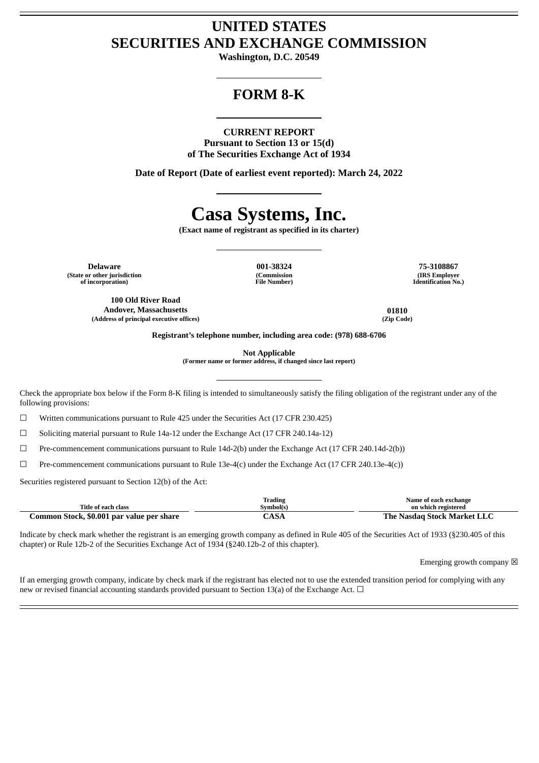# **UNITED STATES SECURITIES AND EXCHANGE COMMISSION**

**Washington, D.C. 20549**

# **FORM 8-K**

#### **CURRENT REPORT**

**Pursuant to Section 13 or 15(d) of The Securities Exchange Act of 1934**

**Date of Report (Date of earliest event reported): March 24, 2022**

# **Casa Systems, Inc.**

**(Exact name of registrant as specified in its charter)**

**Delaware 001-38324 75-3108867 (State or other jurisdiction of incorporation)**

**100 Old River Road Andover, Massachusetts 01810 (Address of principal executive offices) (Zip Code)**

**(Commission File Number)**

**(IRS Employer Identification No.)**

**Registrant's telephone number, including area code: (978) 688-6706**

**Not Applicable**

**(Former name or former address, if changed since last report)**

Check the appropriate box below if the Form 8-K filing is intended to simultaneously satisfy the filing obligation of the registrant under any of the following provisions:

☐ Written communications pursuant to Rule 425 under the Securities Act (17 CFR 230.425)

☐ Soliciting material pursuant to Rule 14a-12 under the Exchange Act (17 CFR 240.14a-12)

☐ Pre-commencement communications pursuant to Rule 14d-2(b) under the Exchange Act (17 CFR 240.14d-2(b))

 $\Box$  Pre-commencement communications pursuant to Rule 13e-4(c) under the Exchange Act (17 CFR 240.13e-4(c))

Securities registered pursuant to Section 12(b) of the Act:

|                                           | <b>Trading</b> | Name of each exchange              |
|-------------------------------------------|----------------|------------------------------------|
| Title of each class                       | Symbol(s)      | on which registered                |
| Common Stock, \$0.001 par value per share | $\bigcirc$ ASA | <b>The Nasdag Stock Market LLC</b> |

Indicate by check mark whether the registrant is an emerging growth company as defined in Rule 405 of the Securities Act of 1933 (§230.405 of this chapter) or Rule 12b-2 of the Securities Exchange Act of 1934 (§240.12b-2 of this chapter).

Emerging growth company  $\boxtimes$ 

If an emerging growth company, indicate by check mark if the registrant has elected not to use the extended transition period for complying with any new or revised financial accounting standards provided pursuant to Section 13(a) of the Exchange Act.  $\Box$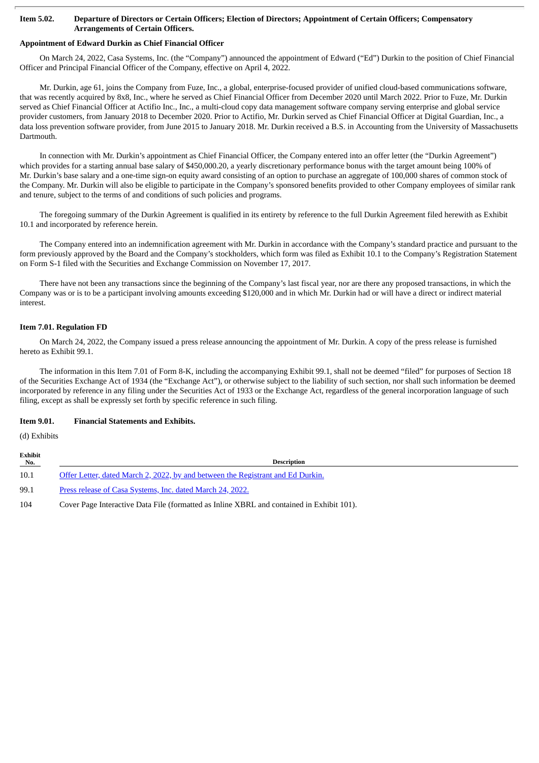#### Item 5.02. Departure of Directors or Certain Officers; Election of Directors; Appointment of Certain Officers; Compensatory **Arrangements of Certain Officers.**

#### **Appointment of Edward Durkin as Chief Financial Officer**

On March 24, 2022, Casa Systems, Inc. (the "Company") announced the appointment of Edward ("Ed") Durkin to the position of Chief Financial Officer and Principal Financial Officer of the Company, effective on April 4, 2022.

Mr. Durkin, age 61, joins the Company from Fuze, Inc., a global, enterprise-focused provider of unified cloud-based communications software, that was recently acquired by 8x8, Inc., where he served as Chief Financial Officer from December 2020 until March 2022. Prior to Fuze, Mr. Durkin served as Chief Financial Officer at Actifio Inc., Inc., a multi-cloud copy data management software company serving enterprise and global service provider customers, from January 2018 to December 2020. Prior to Actifio, Mr. Durkin served as Chief Financial Officer at Digital Guardian, Inc., a data loss prevention software provider, from June 2015 to January 2018. Mr. Durkin received a B.S. in Accounting from the University of Massachusetts Dartmouth.

In connection with Mr. Durkin's appointment as Chief Financial Officer, the Company entered into an offer letter (the "Durkin Agreement") which provides for a starting annual base salary of \$450,000.20, a yearly discretionary performance bonus with the target amount being 100% of Mr. Durkin's base salary and a one-time sign-on equity award consisting of an option to purchase an aggregate of 100,000 shares of common stock of the Company. Mr. Durkin will also be eligible to participate in the Company's sponsored benefits provided to other Company employees of similar rank and tenure, subject to the terms of and conditions of such policies and programs.

The foregoing summary of the Durkin Agreement is qualified in its entirety by reference to the full Durkin Agreement filed herewith as Exhibit 10.1 and incorporated by reference herein.

The Company entered into an indemnification agreement with Mr. Durkin in accordance with the Company's standard practice and pursuant to the form previously approved by the Board and the Company's stockholders, which form was filed as Exhibit 10.1 to the Company's Registration Statement on Form S-1 filed with the Securities and Exchange Commission on November 17, 2017.

There have not been any transactions since the beginning of the Company's last fiscal year, nor are there any proposed transactions, in which the Company was or is to be a participant involving amounts exceeding \$120,000 and in which Mr. Durkin had or will have a direct or indirect material interest.

#### **Item 7.01. Regulation FD**

On March 24, 2022, the Company issued a press release announcing the appointment of Mr. Durkin. A copy of the press release is furnished hereto as Exhibit 99.1.

The information in this Item 7.01 of Form 8-K, including the accompanying Exhibit 99.1, shall not be deemed "filed" for purposes of Section 18 of the Securities Exchange Act of 1934 (the "Exchange Act"), or otherwise subject to the liability of such section, nor shall such information be deemed incorporated by reference in any filing under the Securities Act of 1933 or the Exchange Act, regardless of the general incorporation language of such filing, except as shall be expressly set forth by specific reference in such filing.

#### **Item 9.01. Financial Statements and Exhibits.**

(d) Exhibits

| Exhibit<br>No. | <b>Description</b>                                                                        |
|----------------|-------------------------------------------------------------------------------------------|
| 10.1           | Offer Letter, dated March 2, 2022, by and between the Registrant and Ed Durkin.           |
| 99.1           | Press release of Casa Systems, Inc. dated March 24, 2022.                                 |
| 104            | Cover Page Interactive Data File (formatted as Inline XBRL and contained in Exhibit 101). |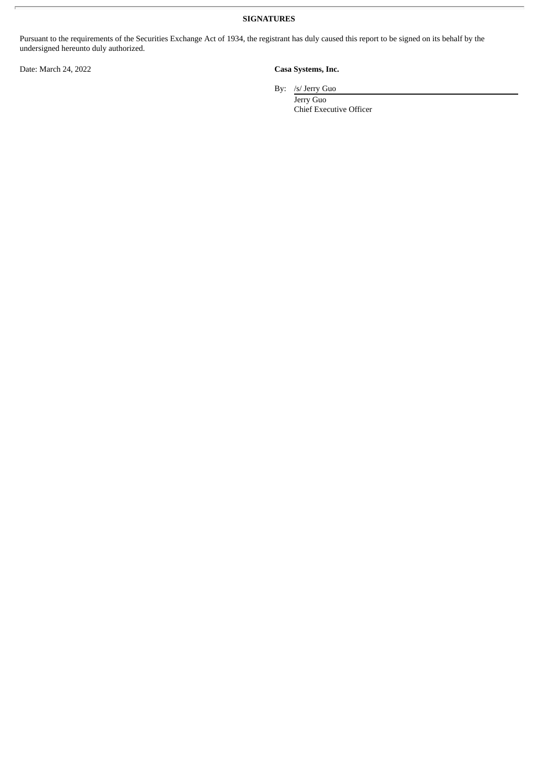**SIGNATURES**

Pursuant to the requirements of the Securities Exchange Act of 1934, the registrant has duly caused this report to be signed on its behalf by the undersigned hereunto duly authorized.

Date: March 24, 2022 **Casa Systems, Inc.**

By: /s/ Jerry Guo

Jerry Guo Chief Executive Officer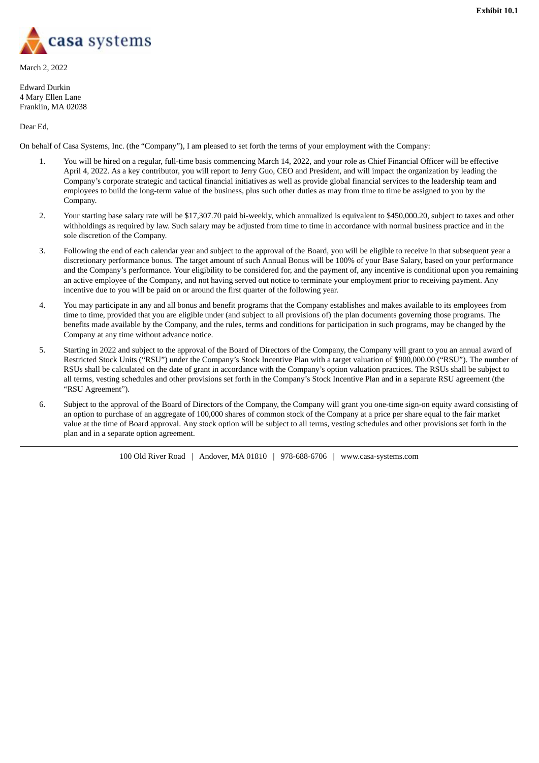<span id="page-3-0"></span>

March 2, 2022

Edward Durkin 4 Mary Ellen Lane Franklin, MA 02038

Dear Ed,

On behalf of Casa Systems, Inc. (the "Company"), I am pleased to set forth the terms of your employment with the Company:

- 1. You will be hired on a regular, full-time basis commencing March 14, 2022, and your role as Chief Financial Officer will be effective April 4, 2022. As a key contributor, you will report to Jerry Guo, CEO and President, and will impact the organization by leading the Company's corporate strategic and tactical financial initiatives as well as provide global financial services to the leadership team and employees to build the long-term value of the business, plus such other duties as may from time to time be assigned to you by the Company.
- 2. Your starting base salary rate will be \$17,307.70 paid bi-weekly, which annualized is equivalent to \$450,000.20, subject to taxes and other withholdings as required by law. Such salary may be adjusted from time to time in accordance with normal business practice and in the sole discretion of the Company.
- 3. Following the end of each calendar year and subject to the approval of the Board, you will be eligible to receive in that subsequent year a discretionary performance bonus. The target amount of such Annual Bonus will be 100% of your Base Salary, based on your performance and the Company's performance. Your eligibility to be considered for, and the payment of, any incentive is conditional upon you remaining an active employee of the Company, and not having served out notice to terminate your employment prior to receiving payment. Any incentive due to you will be paid on or around the first quarter of the following year.
- 4. You may participate in any and all bonus and benefit programs that the Company establishes and makes available to its employees from time to time, provided that you are eligible under (and subject to all provisions of) the plan documents governing those programs. The benefits made available by the Company, and the rules, terms and conditions for participation in such programs, may be changed by the Company at any time without advance notice.
- 5. Starting in 2022 and subject to the approval of the Board of Directors of the Company, the Company will grant to you an annual award of Restricted Stock Units ("RSU") under the Company's Stock Incentive Plan with a target valuation of \$900,000.00 ("RSU"). The number of RSUs shall be calculated on the date of grant in accordance with the Company's option valuation practices. The RSUs shall be subject to all terms, vesting schedules and other provisions set forth in the Company's Stock Incentive Plan and in a separate RSU agreement (the "RSU Agreement").
- 6. Subject to the approval of the Board of Directors of the Company, the Company will grant you one-time sign-on equity award consisting of an option to purchase of an aggregate of 100,000 shares of common stock of the Company at a price per share equal to the fair market value at the time of Board approval. Any stock option will be subject to all terms, vesting schedules and other provisions set forth in the plan and in a separate option agreement.

100 Old River Road | Andover, MA 01810 | 978-688-6706 | www.casa-systems.com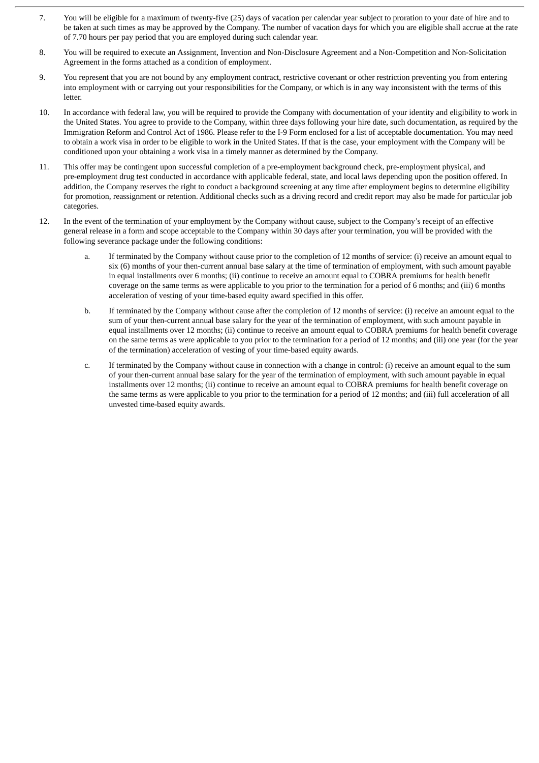- 7. You will be eligible for a maximum of twenty-five (25) days of vacation per calendar year subject to proration to your date of hire and to be taken at such times as may be approved by the Company. The number of vacation days for which you are eligible shall accrue at the rate of 7.70 hours per pay period that you are employed during such calendar year.
- 8. You will be required to execute an Assignment, Invention and Non-Disclosure Agreement and a Non-Competition and Non-Solicitation Agreement in the forms attached as a condition of employment.
- 9. You represent that you are not bound by any employment contract, restrictive covenant or other restriction preventing you from entering into employment with or carrying out your responsibilities for the Company, or which is in any way inconsistent with the terms of this letter.
- 10. In accordance with federal law, you will be required to provide the Company with documentation of your identity and eligibility to work in the United States. You agree to provide to the Company, within three days following your hire date, such documentation, as required by the Immigration Reform and Control Act of 1986. Please refer to the I-9 Form enclosed for a list of acceptable documentation. You may need to obtain a work visa in order to be eligible to work in the United States. If that is the case, your employment with the Company will be conditioned upon your obtaining a work visa in a timely manner as determined by the Company.
- 11. This offer may be contingent upon successful completion of a pre-employment background check, pre-employment physical, and pre-employment drug test conducted in accordance with applicable federal, state, and local laws depending upon the position offered. In addition, the Company reserves the right to conduct a background screening at any time after employment begins to determine eligibility for promotion, reassignment or retention. Additional checks such as a driving record and credit report may also be made for particular job categories.
- 12. In the event of the termination of your employment by the Company without cause, subject to the Company's receipt of an effective general release in a form and scope acceptable to the Company within 30 days after your termination, you will be provided with the following severance package under the following conditions:
	- a. If terminated by the Company without cause prior to the completion of 12 months of service: (i) receive an amount equal to six (6) months of your then-current annual base salary at the time of termination of employment, with such amount payable in equal installments over 6 months; (ii) continue to receive an amount equal to COBRA premiums for health benefit coverage on the same terms as were applicable to you prior to the termination for a period of 6 months; and (iii) 6 months acceleration of vesting of your time-based equity award specified in this offer.
	- b. If terminated by the Company without cause after the completion of 12 months of service: (i) receive an amount equal to the sum of your then-current annual base salary for the year of the termination of employment, with such amount payable in equal installments over 12 months; (ii) continue to receive an amount equal to COBRA premiums for health benefit coverage on the same terms as were applicable to you prior to the termination for a period of 12 months; and (iii) one year (for the year of the termination) acceleration of vesting of your time-based equity awards.
	- c. If terminated by the Company without cause in connection with a change in control: (i) receive an amount equal to the sum of your then-current annual base salary for the year of the termination of employment, with such amount payable in equal installments over 12 months; (ii) continue to receive an amount equal to COBRA premiums for health benefit coverage on the same terms as were applicable to you prior to the termination for a period of 12 months; and (iii) full acceleration of all unvested time-based equity awards.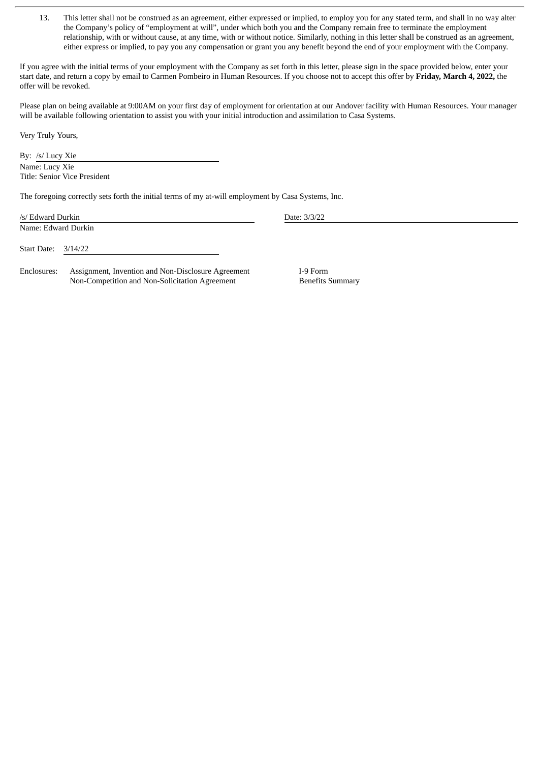13. This letter shall not be construed as an agreement, either expressed or implied, to employ you for any stated term, and shall in no way alter the Company's policy of "employment at will", under which both you and the Company remain free to terminate the employment relationship, with or without cause, at any time, with or without notice. Similarly, nothing in this letter shall be construed as an agreement, either express or implied, to pay you any compensation or grant you any benefit beyond the end of your employment with the Company.

If you agree with the initial terms of your employment with the Company as set forth in this letter, please sign in the space provided below, enter your start date, and return a copy by email to Carmen Pombeiro in Human Resources. If you choose not to accept this offer by **Friday, March 4, 2022,** the offer will be revoked.

Please plan on being available at 9:00AM on your first day of employment for orientation at our Andover facility with Human Resources. Your manager will be available following orientation to assist you with your initial introduction and assimilation to Casa Systems.

Very Truly Yours,

By: /s/ Lucy Xie Name: Lucy Xie Title: Senior Vice President

The foregoing correctly sets forth the initial terms of my at-will employment by Casa Systems, Inc.

| /s/ Edward Durkin   |                                                                                                      | Date: 3/3/22                        |  |
|---------------------|------------------------------------------------------------------------------------------------------|-------------------------------------|--|
| Name: Edward Durkin |                                                                                                      |                                     |  |
| Start Date:         | 3/14/22                                                                                              |                                     |  |
| Enclosures:         | Assignment, Invention and Non-Disclosure Agreement<br>Non-Competition and Non-Solicitation Agreement | I-9 Form<br><b>Benefits Summary</b> |  |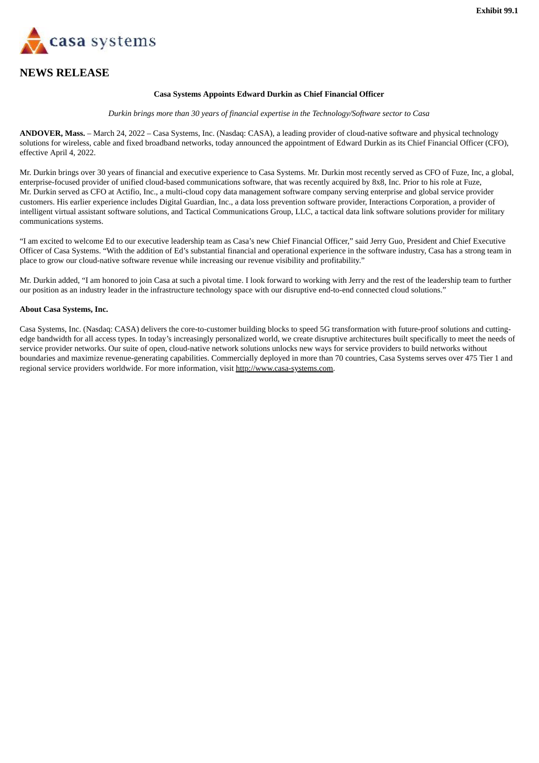<span id="page-6-0"></span>

## **NEWS RELEASE**

#### **Casa Systems Appoints Edward Durkin as Chief Financial Officer**

*Durkin brings more than 30 years of financial expertise in the Technology/Software sector to Casa*

**ANDOVER, Mass.** – March 24, 2022 – Casa Systems, Inc. (Nasdaq: CASA), a leading provider of cloud-native software and physical technology solutions for wireless, cable and fixed broadband networks, today announced the appointment of Edward Durkin as its Chief Financial Officer (CFO), effective April 4, 2022.

Mr. Durkin brings over 30 years of financial and executive experience to Casa Systems. Mr. Durkin most recently served as CFO of Fuze, Inc, a global, enterprise-focused provider of unified cloud-based communications software, that was recently acquired by 8x8, Inc. Prior to his role at Fuze, Mr. Durkin served as CFO at Actifio, Inc., a multi-cloud copy data management software company serving enterprise and global service provider customers. His earlier experience includes Digital Guardian, Inc., a data loss prevention software provider, Interactions Corporation, a provider of intelligent virtual assistant software solutions, and Tactical Communications Group, LLC, a tactical data link software solutions provider for military communications systems.

"I am excited to welcome Ed to our executive leadership team as Casa's new Chief Financial Officer," said Jerry Guo, President and Chief Executive Officer of Casa Systems. "With the addition of Ed's substantial financial and operational experience in the software industry, Casa has a strong team in place to grow our cloud-native software revenue while increasing our revenue visibility and profitability."

Mr. Durkin added, "I am honored to join Casa at such a pivotal time. I look forward to working with Jerry and the rest of the leadership team to further our position as an industry leader in the infrastructure technology space with our disruptive end-to-end connected cloud solutions."

#### **About Casa Systems, Inc.**

Casa Systems, Inc. (Nasdaq: CASA) delivers the core-to-customer building blocks to speed 5G transformation with future-proof solutions and cuttingedge bandwidth for all access types. In today's increasingly personalized world, we create disruptive architectures built specifically to meet the needs of service provider networks. Our suite of open, cloud-native network solutions unlocks new ways for service providers to build networks without boundaries and maximize revenue-generating capabilities. Commercially deployed in more than 70 countries, Casa Systems serves over 475 Tier 1 and regional service providers worldwide. For more information, visit http://www.casa-systems.com.